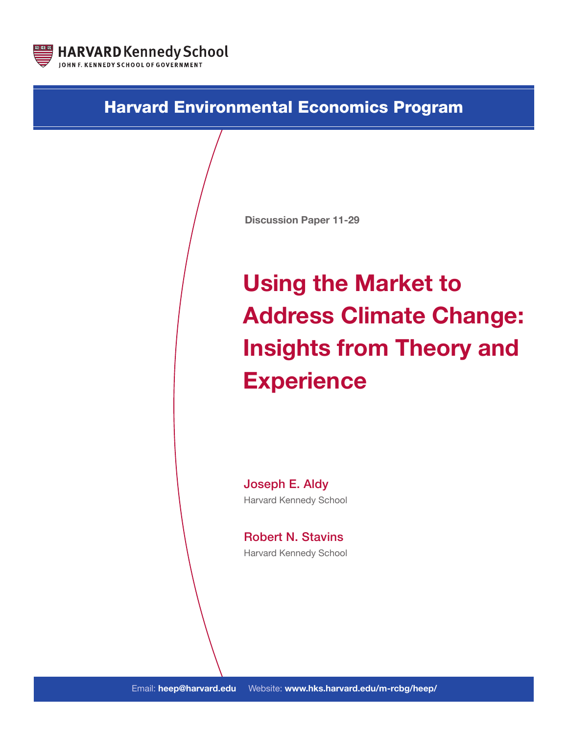

Harvard Environmental Economics Program

**Discussion Paper 11-29**

# **Using the Market to Address Climate Change: Insights from Theory and Experience**

Joseph E. Aldy Harvard Kennedy School

### Robert N. Stavins

Harvard Kennedy School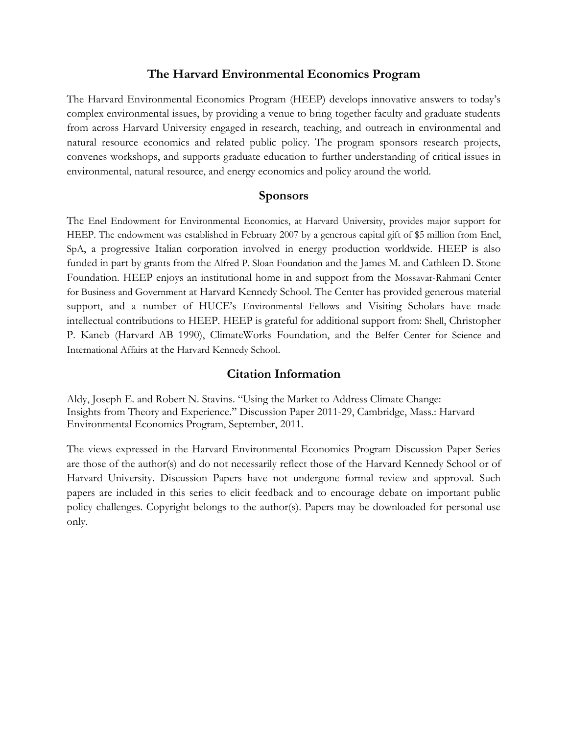#### **The Harvard Environmental Economics Program**

The Harvard Environmental Economics Program (HEEP) develops innovative answers to today's complex environmental issues, by providing a venue to bring together faculty and graduate students from across Harvard University engaged in research, teaching, and outreach in environmental and natural resource economics and related public policy. The program sponsors research projects, convenes workshops, and supports graduate education to further understanding of critical issues in environmental, natural resource, and energy economics and policy around the world.

#### **Sponsors**

The Enel Endowment for Environmental Economics, at Harvard University, provides major support for HEEP. The endowment was established in February 2007 by a generous capital gift of \$5 million from [Enel,](http://www.enel.com/en-GB/sustainability/environment/)  [SpA](http://www.enel.com/en-GB/sustainability/environment/), a progressive Italian corporation involved in energy production worldwide. HEEP is also funded in part by grants from the [Alfred P. Sloan Foundation](http://www.sloan.org/) and the James M. and Cathleen D. Stone Foundation. HEEP enjoys an institutional home in and support from the [Mossavar-Rahmani Center](http://www.ksg.harvard.edu/m-rcbg/)  [for Business and Government](http://www.ksg.harvard.edu/m-rcbg/) at Harvard Kennedy School. The Center has provided generous material support, and a number of HUCE's [Environmental Fellows](http://environment.harvard.edu/grants/fellows) and Visiting Scholars have made intellectual contributions to HEEP. HEEP is grateful for additional support from: [Shell](http://www.shell.com/), Christopher P. Kaneb (Harvard AB 1990), ClimateWorks Foundation, and the [Belfer Center for Science and](http://belfercenter.ksg.harvard.edu/index.html)  [International Affairs](http://belfercenter.ksg.harvard.edu/index.html) at the [Harvard Kennedy School](http://www.hks.harvard.edu/).

#### **Citation Information**

Aldy, Joseph E. and Robert N. Stavins. "Using the Market to Address Climate Change: Insights from Theory and Experience." Discussion Paper 2011-29, Cambridge, Mass.: Harvard Environmental Economics Program, September, 2011.

The views expressed in the Harvard Environmental Economics Program Discussion Paper Series are those of the author(s) and do not necessarily reflect those of the Harvard Kennedy School or of Harvard University. Discussion Papers have not undergone formal review and approval. Such papers are included in this series to elicit feedback and to encourage debate on important public policy challenges. Copyright belongs to the author(s). Papers may be downloaded for personal use only.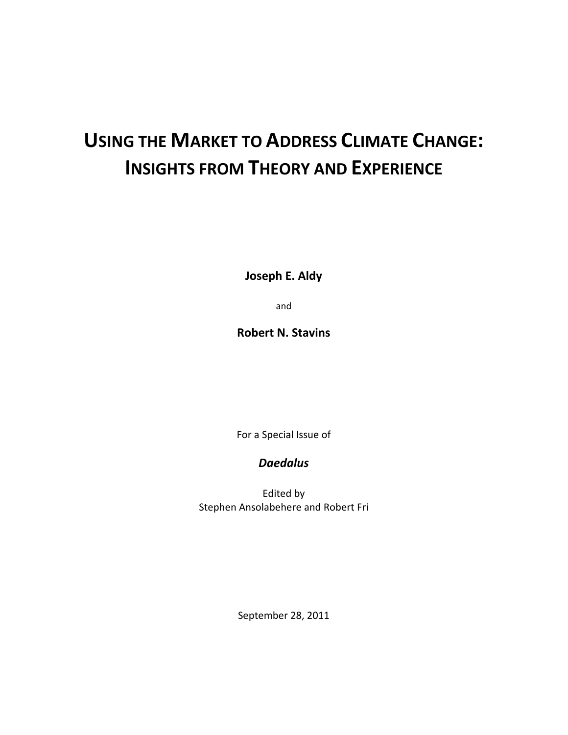## **USING THE MARKET TO ADDRESS CLIMATE CHANGE: INSIGHTS FROM THEORY AND EXPERIENCE**

**Joseph E. Aldy**

and

**Robert N. Stavins**

For a Special Issue of

*Daedalus*

Edited by Stephen Ansolabehere and Robert Fri

September 28, 2011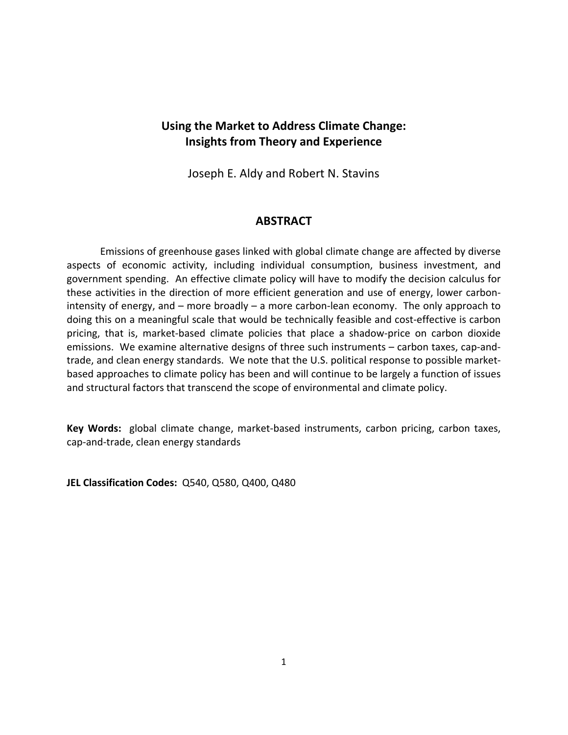#### **Using the Market to Address Climate Change: Insights from Theory and Experience**

Joseph E. Aldy and Robert N. Stavins

#### **ABSTRACT**

Emissions of greenhouse gases linked with global climate change are affected by diverse aspects of economic activity, including individual consumption, business investment, and government spending. An effective climate policy will have to modify the decision calculus for these activities in the direction of more efficient generation and use of energy, lower carbon‐ intensity of energy, and – more broadly – a more carbon‐lean economy. The only approach to doing this on a meaningful scale that would be technically feasible and cost-effective is carbon pricing, that is, market‐based climate policies that place a shadow‐price on carbon dioxide emissions. We examine alternative designs of three such instruments – carbon taxes, cap-andtrade, and clean energy standards. We note that the U.S. political response to possible market‐ based approaches to climate policy has been and will continue to be largely a function of issues and structural factors that transcend the scope of environmental and climate policy.

**Key Words:** global climate change, market-based instruments, carbon pricing, carbon taxes, cap‐and‐trade, clean energy standards

**JEL Classification Codes:** Q540, Q580, Q400, Q480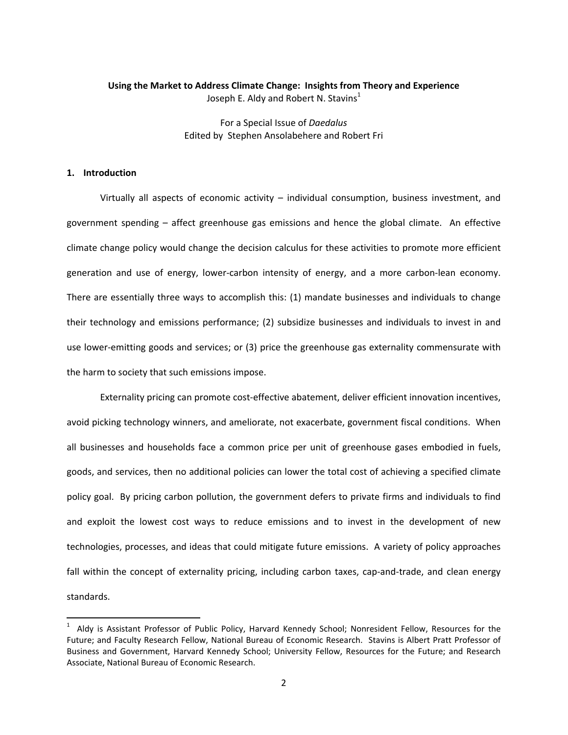#### **Using the Market to Address Climate Change: Insights from Theory and Experience** Joseph E. Aldy and Robert N. Stavins<sup>1</sup>

For a Special Issue of *Daedalus* Edited by Stephen Ansolabehere and Robert Fri

#### **1. Introduction**

Virtually all aspects of economic activity – individual consumption, business investment, and government spending – affect greenhouse gas emissions and hence the global climate. An effective climate change policy would change the decision calculus for these activities to promote more efficient generation and use of energy, lower‐carbon intensity of energy, and a more carbon‐lean economy. There are essentially three ways to accomplish this: (1) mandate businesses and individuals to change their technology and emissions performance; (2) subsidize businesses and individuals to invest in and use lower‐emitting goods and services; or (3) price the greenhouse gas externality commensurate with the harm to society that such emissions impose.

Externality pricing can promote cost-effective abatement, deliver efficient innovation incentives, avoid picking technology winners, and ameliorate, not exacerbate, government fiscal conditions. When all businesses and households face a common price per unit of greenhouse gases embodied in fuels, goods, and services, then no additional policies can lower the total cost of achieving a specified climate policy goal. By pricing carbon pollution, the government defers to private firms and individuals to find and exploit the lowest cost ways to reduce emissions and to invest in the development of new technologies, processes, and ideas that could mitigate future emissions. A variety of policy approaches fall within the concept of externality pricing, including carbon taxes, cap-and-trade, and clean energy standards.

<sup>1</sup> Aldy is Assistant Professor of Public Policy, Harvard Kennedy School; Nonresident Fellow, Resources for the Future; and Faculty Research Fellow, National Bureau of Economic Research. Stavins is Albert Pratt Professor of Business and Government, Harvard Kennedy School; University Fellow, Resources for the Future; and Research Associate, National Bureau of Economic Research.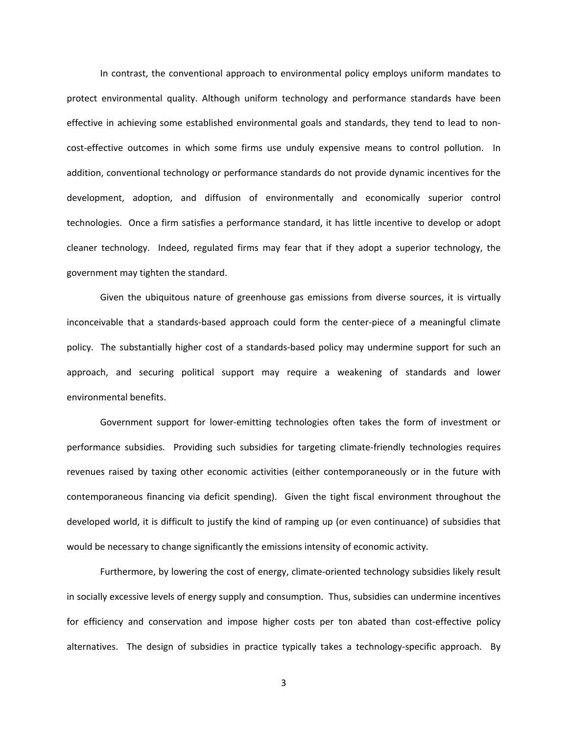In contrast, the conventional approach to environmental policy employs uniform mandates to protect environmental quality. Although uniform technology and performance standards have been effective in achieving some established environmental goals and standards, they tend to lead to non‐ cost-effective outcomes in which some firms use unduly expensive means to control pollution. In addition, conventional technology or performance standards do not provide dynamic incentives for the development, adoption, and diffusion of environmentally and economically superior control technologies. Once a firm satisfies a performance standard, it has little incentive to develop or adopt cleaner technology. Indeed, regulated firms may fear that if they adopt a superior technology, the government may tighten the standard.

Given the ubiquitous nature of greenhouse gas emissions from diverse sources, it is virtually inconceivable that a standards‐based approach could form the center‐piece of a meaningful climate policy. The substantially higher cost of a standards‐based policy may undermine support for such an approach, and securing political support may require a weakening of standards and lower environmental benefits.

Government support for lower-emitting technologies often takes the form of investment or performance subsidies. Providing such subsidies for targeting climate-friendly technologies requires revenues raised by taxing other economic activities (either contemporaneously or in the future with contemporaneous financing via deficit spending). Given the tight fiscal environment throughout the developed world, it is difficult to justify the kind of ramping up (or even continuance) of subsidies that would be necessary to change significantly the emissions intensity of economic activity.

Furthermore, by lowering the cost of energy, climate-oriented technology subsidies likely result in socially excessive levels of energy supply and consumption. Thus, subsidies can undermine incentives for efficiency and conservation and impose higher costs per ton abated than cost-effective policy alternatives. The design of subsidies in practice typically takes a technology-specific approach. By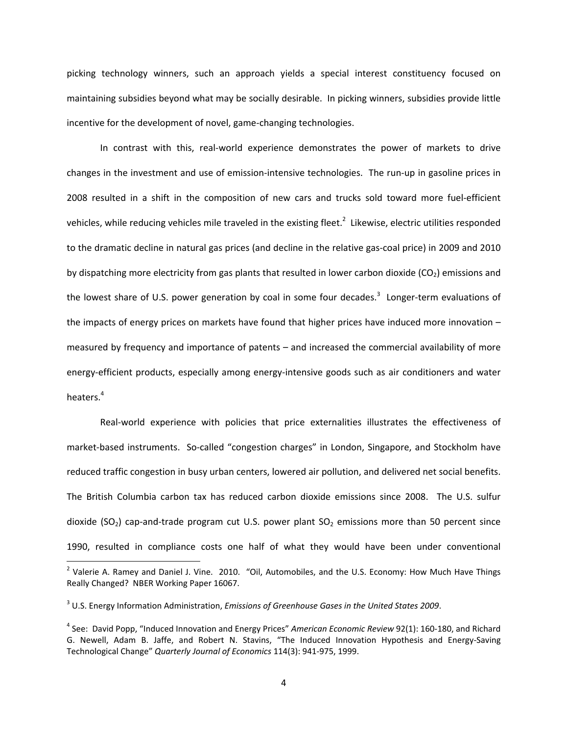picking technology winners, such an approach yields a special interest constituency focused on maintaining subsidies beyond what may be socially desirable. In picking winners, subsidies provide little incentive for the development of novel, game‐changing technologies.

In contrast with this, real-world experience demonstrates the power of markets to drive changes in the investment and use of emission-intensive technologies. The run-up in gasoline prices in 2008 resulted in a shift in the composition of new cars and trucks sold toward more fuel‐efficient vehicles, while reducing vehicles mile traveled in the existing fleet.<sup>2</sup> Likewise, electric utilities responded to the dramatic decline in natural gas prices (and decline in the relative gas‐coal price) in 2009 and 2010 by dispatching more electricity from gas plants that resulted in lower carbon dioxide ( $CO<sub>2</sub>$ ) emissions and the lowest share of U.S. power generation by coal in some four decades.<sup>3</sup> Longer-term evaluations of the impacts of energy prices on markets have found that higher prices have induced more innovation – measured by frequency and importance of patents – and increased the commercial availability of more energy-efficient products, especially among energy-intensive goods such as air conditioners and water heaters.<sup>4</sup>

Real-world experience with policies that price externalities illustrates the effectiveness of market-based instruments. So-called "congestion charges" in London, Singapore, and Stockholm have reduced traffic congestion in busy urban centers, lowered air pollution, and delivered net social benefits. The British Columbia carbon tax has reduced carbon dioxide emissions since 2008. The U.S. sulfur dioxide (SO<sub>2</sub>) cap-and-trade program cut U.S. power plant SO<sub>2</sub> emissions more than 50 percent since 1990, resulted in compliance costs one half of what they would have been under conventional

 $<sup>2</sup>$  Valerie A. Ramey and Daniel J. Vine. 2010. "Oil, Automobiles, and the U.S. Economy: How Much Have Things</sup> Really Changed? NBER Working Paper 16067.

<sup>3</sup> U.S. Energy Information Administration, *Emissions of Greenhouse Gases in the United States 2009*.

<sup>4</sup> See: David Popp, "Induced Innovation and Energy Prices" *American Economic Review* 92(1): 160‐180, and Richard G. Newell, Adam B. Jaffe, and Robert N. Stavins, "The Induced Innovation Hypothesis and Energy‐Saving Technological Change" *Quarterly Journal of Economics* 114(3): 941‐975, 1999.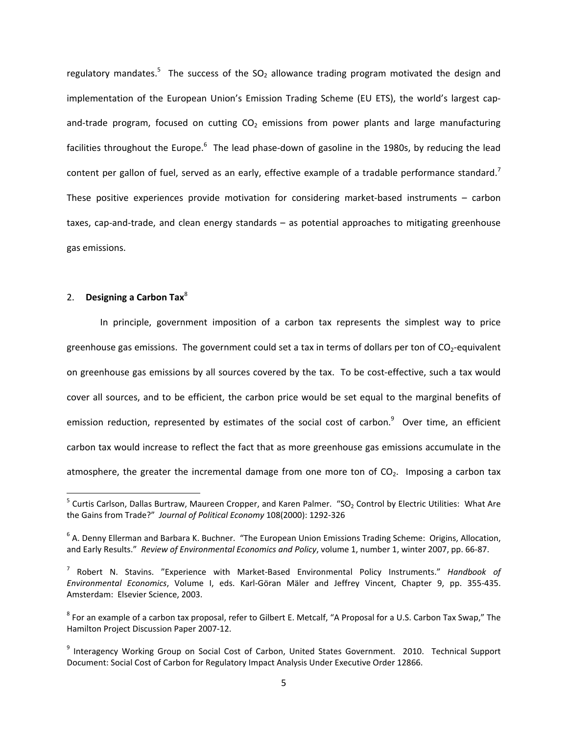regulatory mandates.<sup>5</sup> The success of the SO<sub>2</sub> allowance trading program motivated the design and implementation of the European Union's Emission Trading Scheme (EU ETS), the world's largest capand-trade program, focused on cutting  $CO<sub>2</sub>$  emissions from power plants and large manufacturing facilities throughout the Europe.<sup>6</sup> The lead phase-down of gasoline in the 1980s, by reducing the lead content per gallon of fuel, served as an early, effective example of a tradable performance standard.<sup>7</sup> These positive experiences provide motivation for considering market-based instruments – carbon taxes, cap-and-trade, and clean energy standards - as potential approaches to mitigating greenhouse gas emissions.

#### 2. **Designing a Carbon Tax**<sup>8</sup>

In principle, government imposition of a carbon tax represents the simplest way to price greenhouse gas emissions. The government could set a tax in terms of dollars per ton of  $CO<sub>2</sub>$ -equivalent on greenhouse gas emissions by all sources covered by the tax. To be cost-effective, such a tax would cover all sources, and to be efficient, the carbon price would be set equal to the marginal benefits of emission reduction, represented by estimates of the social cost of carbon.<sup>9</sup> Over time, an efficient carbon tax would increase to reflect the fact that as more greenhouse gas emissions accumulate in the atmosphere, the greater the incremental damage from one more ton of  $CO<sub>2</sub>$ . Imposing a carbon tax

<sup>&</sup>lt;sup>5</sup> Curtis Carlson, Dallas Burtraw, Maureen Cropper, and Karen Palmer. *"SO*<sub>2</sub> Control by Electric Utilities: What Are the Gains from Trade?" *Journal of Political Economy* 108(2000): 1292‐326

 $6$  A. Denny Ellerman and Barbara K. Buchner. "The European Union Emissions Trading Scheme: Origins, Allocation, and Early Results." *Review of Environmental Economics and Policy*, volume 1, number 1, winter 2007, pp. 66‐87.

<sup>7</sup> Robert N. Stavins. "Experience with Market‐Based Environmental Policy Instruments." *Handbook of Environmental Economics*, Volume I, eds. Karl‐Göran Mäler and Jeffrey Vincent, Chapter 9, pp. 355‐435. Amsterdam: Elsevier Science, 2003.

<sup>&</sup>lt;sup>8</sup> For an example of a carbon tax proposal, refer to Gilbert E. Metcalf, "A Proposal for a U.S. Carbon Tax Swap," The Hamilton Project Discussion Paper 2007‐12.

<sup>&</sup>lt;sup>9</sup> Interagency Working Group on Social Cost of Carbon, United States Government. 2010. Technical Support Document: Social Cost of Carbon for Regulatory Impact Analysis Under Executive Order 12866.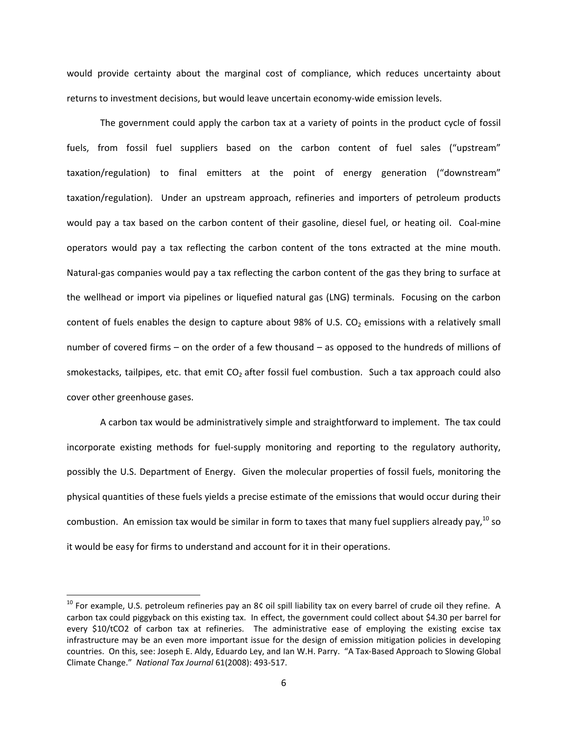would provide certainty about the marginal cost of compliance, which reduces uncertainty about returns to investment decisions, but would leave uncertain economy‐wide emission levels.

The government could apply the carbon tax at a variety of points in the product cycle of fossil fuels, from fossil fuel suppliers based on the carbon content of fuel sales ("upstream" taxation/regulation) to final emitters at the point of energy generation ("downstream" taxation/regulation). Under an upstream approach, refineries and importers of petroleum products would pay a tax based on the carbon content of their gasoline, diesel fuel, or heating oil. Coal‐mine operators would pay a tax reflecting the carbon content of the tons extracted at the mine mouth. Natural‐gas companies would pay a tax reflecting the carbon content of the gas they bring to surface at the wellhead or import via pipelines or liquefied natural gas (LNG) terminals. Focusing on the carbon content of fuels enables the design to capture about 98% of U.S.  $CO<sub>2</sub>$  emissions with a relatively small number of covered firms – on the order of a few thousand – as opposed to the hundreds of millions of smokestacks, tailpipes, etc. that emit  $CO<sub>2</sub>$  after fossil fuel combustion. Such a tax approach could also cover other greenhouse gases.

A carbon tax would be administratively simple and straightforward to implement. The tax could incorporate existing methods for fuel‐supply monitoring and reporting to the regulatory authority, possibly the U.S. Department of Energy. Given the molecular properties of fossil fuels, monitoring the physical quantities of these fuels yields a precise estimate of the emissions that would occur during their combustion. An emission tax would be similar in form to taxes that many fuel suppliers already pay,  $^{10}$  so it would be easy for firms to understand and account for it in their operations.

 $10$  For example, U.S. petroleum refineries pay an 8¢ oil spill liability tax on every barrel of crude oil they refine. A carbon tax could piggyback on this existing tax. In effect, the government could collect about \$4.30 per barrel for every \$10/tCO2 of carbon tax at refineries. The administrative ease of employing the existing excise tax infrastructure may be an even more important issue for the design of emission mitigation policies in developing countries. On this, see: Joseph E. Aldy, Eduardo Ley, and Ian W.H. Parry. "A Tax‐Based Approach to Slowing Global Climate Change." *National Tax Journal* 61(2008): 493‐517.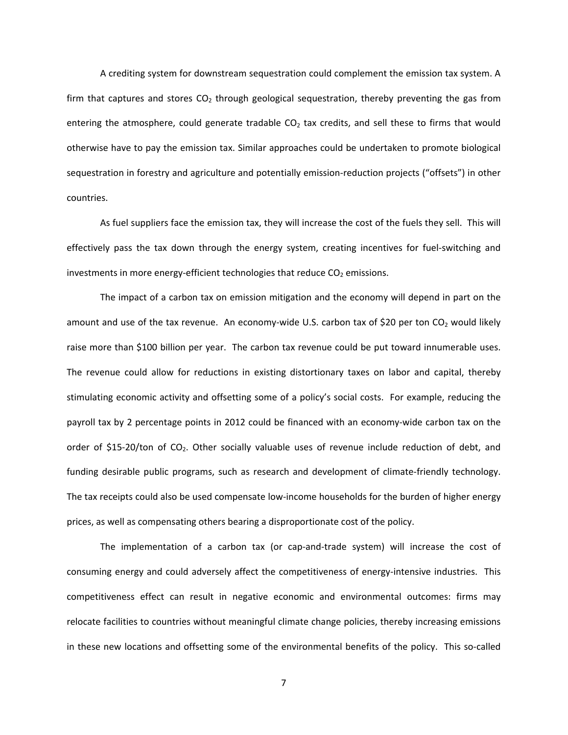A crediting system for downstream sequestration could complement the emission tax system. A firm that captures and stores  $CO<sub>2</sub>$  through geological sequestration, thereby preventing the gas from entering the atmosphere, could generate tradable  $CO<sub>2</sub>$  tax credits, and sell these to firms that would otherwise have to pay the emission tax. Similar approaches could be undertaken to promote biological sequestration in forestry and agriculture and potentially emission-reduction projects ("offsets") in other countries.

As fuel suppliers face the emission tax, they will increase the cost of the fuels they sell. This will effectively pass the tax down through the energy system, creating incentives for fuel‐switching and investments in more energy-efficient technologies that reduce  $CO<sub>2</sub>$  emissions.

The impact of a carbon tax on emission mitigation and the economy will depend in part on the amount and use of the tax revenue. An economy-wide U.S. carbon tax of \$20 per ton  $CO<sub>2</sub>$  would likely raise more than \$100 billion per year. The carbon tax revenue could be put toward innumerable uses. The revenue could allow for reductions in existing distortionary taxes on labor and capital, thereby stimulating economic activity and offsetting some of a policy's social costs. For example, reducing the payroll tax by 2 percentage points in 2012 could be financed with an economy‐wide carbon tax on the order of \$15-20/ton of CO<sub>2</sub>. Other socially valuable uses of revenue include reduction of debt, and funding desirable public programs, such as research and development of climate‐friendly technology. The tax receipts could also be used compensate low-income households for the burden of higher energy prices, as well as compensating others bearing a disproportionate cost of the policy.

The implementation of a carbon tax (or cap-and-trade system) will increase the cost of consuming energy and could adversely affect the competitiveness of energy-intensive industries. This competitiveness effect can result in negative economic and environmental outcomes: firms may relocate facilities to countries without meaningful climate change policies, thereby increasing emissions in these new locations and offsetting some of the environmental benefits of the policy. This so-called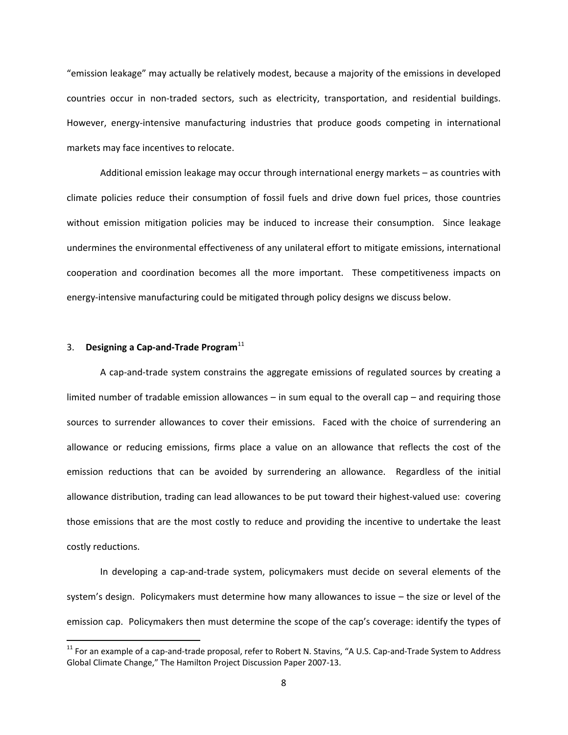"emission leakage" may actually be relatively modest, because a majority of the emissions in developed countries occur in non-traded sectors, such as electricity, transportation, and residential buildings. However, energy‐intensive manufacturing industries that produce goods competing in international markets may face incentives to relocate.

Additional emission leakage may occur through international energy markets – as countries with climate policies reduce their consumption of fossil fuels and drive down fuel prices, those countries without emission mitigation policies may be induced to increase their consumption. Since leakage undermines the environmental effectiveness of any unilateral effort to mitigate emissions, international cooperation and coordination becomes all the more important. These competitiveness impacts on energy-intensive manufacturing could be mitigated through policy designs we discuss below.

#### 3. **Designing a Cap‐and‐Trade Program**<sup>11</sup>

A cap‐and‐trade system constrains the aggregate emissions of regulated sources by creating a limited number of tradable emission allowances – in sum equal to the overall cap – and requiring those sources to surrender allowances to cover their emissions. Faced with the choice of surrendering an allowance or reducing emissions, firms place a value on an allowance that reflects the cost of the emission reductions that can be avoided by surrendering an allowance. Regardless of the initial allowance distribution, trading can lead allowances to be put toward their highest-valued use: covering those emissions that are the most costly to reduce and providing the incentive to undertake the least costly reductions.

In developing a cap-and-trade system, policymakers must decide on several elements of the system's design. Policymakers must determine how many allowances to issue – the size or level of the emission cap. Policymakers then must determine the scope of the cap's coverage: identify the types of

 $11$  For an example of a cap-and-trade proposal, refer to Robert N. Stavins, "A U.S. Cap-and-Trade System to Address Global Climate Change," The Hamilton Project Discussion Paper 2007‐13.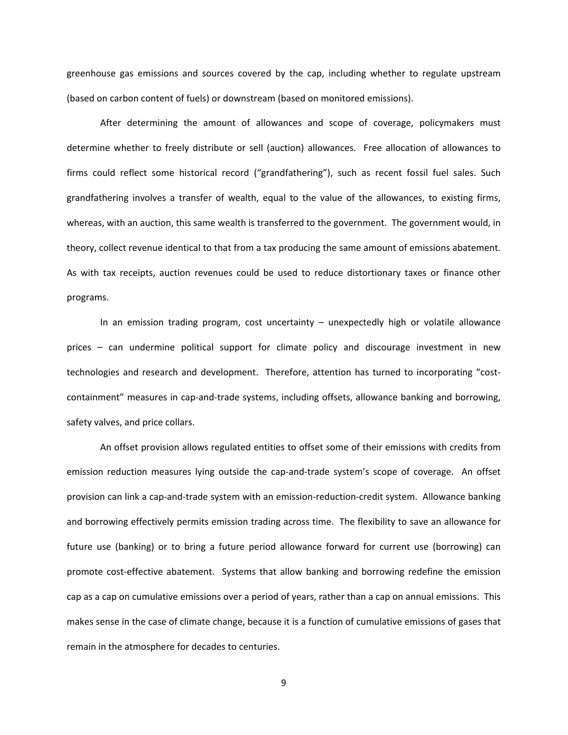greenhouse gas emissions and sources covered by the cap, including whether to regulate upstream (based on carbon content of fuels) or downstream (based on monitored emissions).

After determining the amount of allowances and scope of coverage, policymakers must determine whether to freely distribute or sell (auction) allowances. Free allocation of allowances to firms could reflect some historical record ("grandfathering"), such as recent fossil fuel sales. Such grandfathering involves a transfer of wealth, equal to the value of the allowances, to existing firms, whereas, with an auction, this same wealth is transferred to the government. The government would, in theory, collect revenue identical to that from a tax producing the same amount of emissions abatement. As with tax receipts, auction revenues could be used to reduce distortionary taxes or finance other programs.

In an emission trading program, cost uncertainty – unexpectedly high or volatile allowance prices – can undermine political support for climate policy and discourage investment in new technologies and research and development. Therefore, attention has turned to incorporating "costcontainment" measures in cap-and-trade systems, including offsets, allowance banking and borrowing, safety valves, and price collars.

An offset provision allows regulated entities to offset some of their emissions with credits from emission reduction measures lying outside the cap-and-trade system's scope of coverage. An offset provision can link a cap‐and‐trade system with an emission‐reduction‐credit system. Allowance banking and borrowing effectively permits emission trading across time. The flexibility to save an allowance for future use (banking) or to bring a future period allowance forward for current use (borrowing) can promote cost-effective abatement. Systems that allow banking and borrowing redefine the emission cap as a cap on cumulative emissions over a period of years, rather than a cap on annual emissions. This makes sense in the case of climate change, because it is a function of cumulative emissions of gases that remain in the atmosphere for decades to centuries.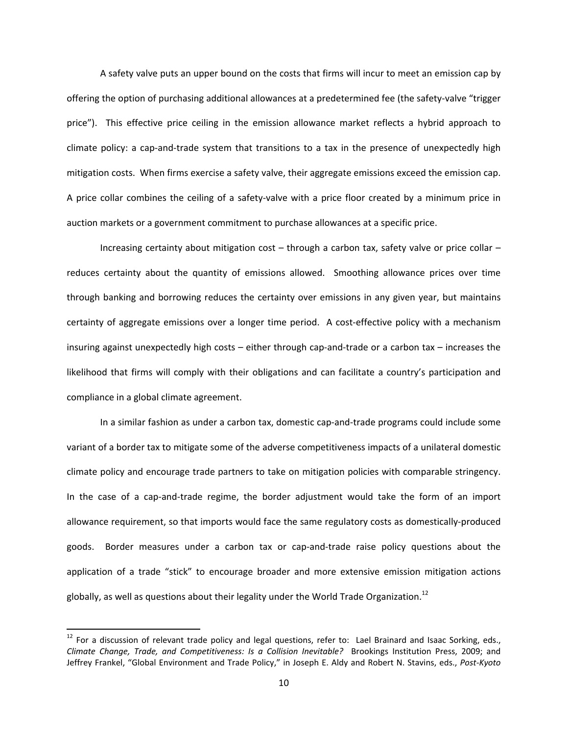A safety valve puts an upper bound on the costs that firms will incur to meet an emission cap by offering the option of purchasing additional allowances at a predetermined fee (the safety‐valve "trigger price"). This effective price ceiling in the emission allowance market reflects a hybrid approach to climate policy: a cap-and-trade system that transitions to a tax in the presence of unexpectedly high mitigation costs. When firms exercise a safety valve, their aggregate emissions exceed the emission cap. A price collar combines the ceiling of a safety‐valve with a price floor created by a minimum price in auction markets or a government commitment to purchase allowances at a specific price.

Increasing certainty about mitigation cost – through a carbon tax, safety valve or price collar – reduces certainty about the quantity of emissions allowed. Smoothing allowance prices over time through banking and borrowing reduces the certainty over emissions in any given year, but maintains certainty of aggregate emissions over a longer time period. A cost-effective policy with a mechanism insuring against unexpectedly high costs – either through cap-and-trade or a carbon tax – increases the likelihood that firms will comply with their obligations and can facilitate a country's participation and compliance in a global climate agreement.

In a similar fashion as under a carbon tax, domestic cap‐and‐trade programs could include some variant of a border tax to mitigate some of the adverse competitiveness impacts of a unilateral domestic climate policy and encourage trade partners to take on mitigation policies with comparable stringency. In the case of a cap-and-trade regime, the border adjustment would take the form of an import allowance requirement, so that imports would face the same regulatory costs as domestically‐produced goods. Border measures under a carbon tax or cap-and-trade raise policy questions about the application of a trade "stick" to encourage broader and more extensive emission mitigation actions globally, as well as questions about their legality under the World Trade Organization.<sup>12</sup>

 $12$  For a discussion of relevant trade policy and legal questions, refer to: Lael Brainard and Isaac Sorking, eds., *Climate Change, Trade, and Competitiveness: Is a Collision Inevitable?*  Brookings Institution Press, 2009; and Jeffrey Frankel, "Global Environment and Trade Policy," in Joseph E. Aldy and Robert N. Stavins, eds., *Post‐Kyoto*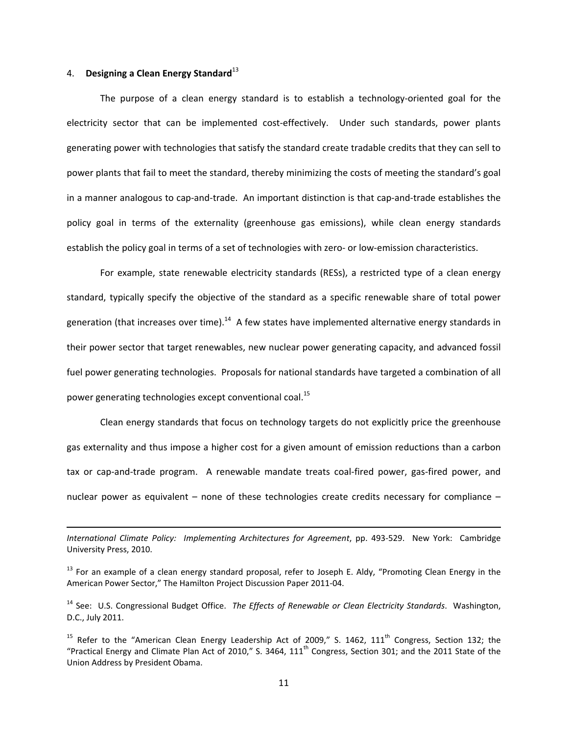#### 4. **Designing a Clean Energy Standard**<sup>13</sup>

The purpose of a clean energy standard is to establish a technology-oriented goal for the electricity sector that can be implemented cost-effectively. Under such standards, power plants generating power with technologies that satisfy the standard create tradable credits that they can sell to power plants that fail to meet the standard, thereby minimizing the costs of meeting the standard's goal in a manner analogous to cap-and-trade. An important distinction is that cap-and-trade establishes the policy goal in terms of the externality (greenhouse gas emissions), while clean energy standards establish the policy goal in terms of a set of technologies with zero- or low-emission characteristics.

For example, state renewable electricity standards (RESs), a restricted type of a clean energy standard, typically specify the objective of the standard as a specific renewable share of total power generation (that increases over time).<sup>14</sup> A few states have implemented alternative energy standards in their power sector that target renewables, new nuclear power generating capacity, and advanced fossil fuel power generating technologies. Proposals for national standards have targeted a combination of all power generating technologies except conventional coal.<sup>15</sup>

Clean energy standards that focus on technology targets do not explicitly price the greenhouse gas externality and thus impose a higher cost for a given amount of emission reductions than a carbon tax or cap-and-trade program. A renewable mandate treats coal-fired power, gas-fired power, and nuclear power as equivalent – none of these technologies create credits necessary for compliance –

<u> Andrewski politika (za obrazu pod predsjednika u predsjednika u predsjednika u predsjednika (za obrazu pod p</u> *International Climate Policy: Implementing Architectures for Agreement*, pp. 493‐529. New York: Cambridge University Press, 2010.

<sup>&</sup>lt;sup>13</sup> For an example of a clean energy standard proposal, refer to Joseph E. Aldy, "Promoting Clean Energy in the American Power Sector," The Hamilton Project Discussion Paper 2011‐04.

<sup>14</sup> See: U.S. Congressional Budget Office. *The Effects of Renewable or Clean Electricity Standards*. Washington, D.C., July 2011.

<sup>&</sup>lt;sup>15</sup> Refer to the "American Clean Energy Leadership Act of 2009," S. 1462, 111<sup>th</sup> Congress, Section 132; the "Practical Energy and Climate Plan Act of 2010," S. 3464,  $111<sup>th</sup>$  Congress, Section 301; and the 2011 State of the Union Address by President Obama.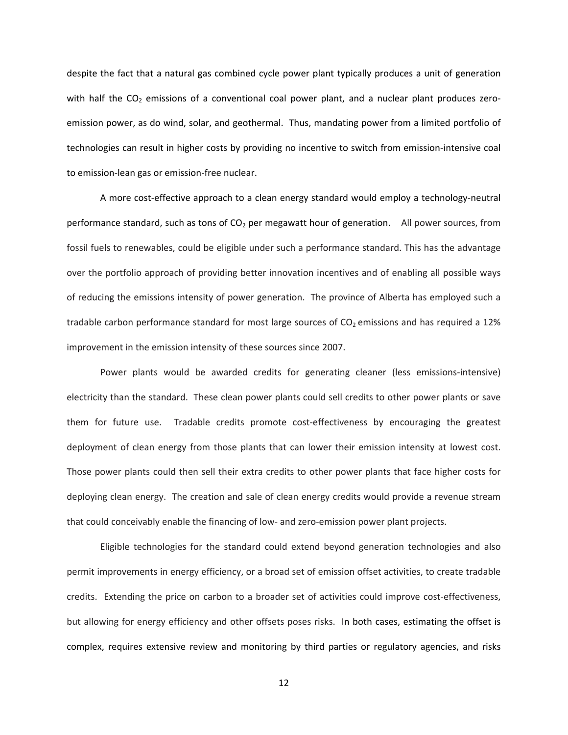despite the fact that a natural gas combined cycle power plant typically produces a unit of generation with half the  $CO<sub>2</sub>$  emissions of a conventional coal power plant, and a nuclear plant produces zeroemission power, as do wind, solar, and geothermal. Thus, mandating power from a limited portfolio of technologies can result in higher costs by providing no incentive to switch from emission‐intensive coal to emission‐lean gas or emission‐free nuclear.

A more cost‐effective approach to a clean energy standard would employ a technology‐neutral performance standard, such as tons of  $CO<sub>2</sub>$  per megawatt hour of generation. All power sources, from fossil fuels to renewables, could be eligible under such a performance standard. This has the advantage over the portfolio approach of providing better innovation incentives and of enabling all possible ways of reducing the emissions intensity of power generation. The province of Alberta has employed such a tradable carbon performance standard for most large sources of  $CO<sub>2</sub>$  emissions and has required a 12% improvement in the emission intensity of these sources since 2007.

Power plants would be awarded credits for generating cleaner (less emissions-intensive) electricity than the standard. These clean power plants could sell credits to other power plants or save them for future use. Tradable credits promote cost-effectiveness by encouraging the greatest deployment of clean energy from those plants that can lower their emission intensity at lowest cost. Those power plants could then sell their extra credits to other power plants that face higher costs for deploying clean energy. The creation and sale of clean energy credits would provide a revenue stream that could conceivably enable the financing of low‐ and zero‐emission power plant projects.

Eligible technologies for the standard could extend beyond generation technologies and also permit improvements in energy efficiency, or a broad set of emission offset activities, to create tradable credits. Extending the price on carbon to a broader set of activities could improve cost-effectiveness, but allowing for energy efficiency and other offsets poses risks. In both cases, estimating the offset is complex, requires extensive review and monitoring by third parties or regulatory agencies, and risks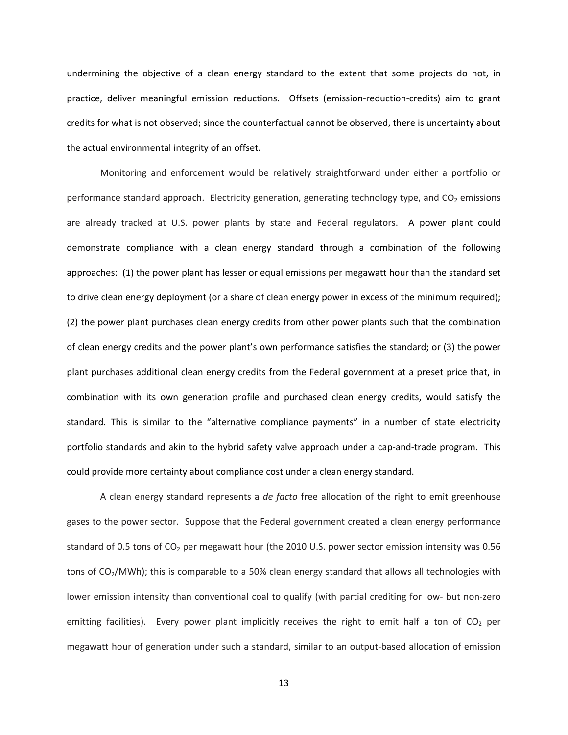undermining the objective of a clean energy standard to the extent that some projects do not, in practice, deliver meaningful emission reductions. Offsets (emission-reduction-credits) aim to grant credits for what is not observed; since the counterfactual cannot be observed, there is uncertainty about the actual environmental integrity of an offset.

Monitoring and enforcement would be relatively straightforward under either a portfolio or performance standard approach. Electricity generation, generating technology type, and CO<sub>2</sub> emissions are already tracked at U.S. power plants by state and Federal regulators. A power plant could demonstrate compliance with a clean energy standard through a combination of the following approaches: (1) the power plant has lesser or equal emissions per megawatt hour than the standard set to drive clean energy deployment (or a share of clean energy power in excess of the minimum required); (2) the power plant purchases clean energy credits from other power plants such that the combination of clean energy credits and the power plant's own performance satisfies the standard; or (3) the power plant purchases additional clean energy credits from the Federal government at a preset price that, in combination with its own generation profile and purchased clean energy credits, would satisfy the standard. This is similar to the "alternative compliance payments" in a number of state electricity portfolio standards and akin to the hybrid safety valve approach under a cap-and-trade program. This could provide more certainty about compliance cost under a clean energy standard.

A clean energy standard represents a *de facto* free allocation of the right to emit greenhouse gases to the power sector. Suppose that the Federal government created a clean energy performance standard of 0.5 tons of  $CO<sub>2</sub>$  per megawatt hour (the 2010 U.S. power sector emission intensity was 0.56 tons of CO<sub>2</sub>/MWh); this is comparable to a 50% clean energy standard that allows all technologies with lower emission intensity than conventional coal to qualify (with partial crediting for low- but non-zero emitting facilities). Every power plant implicitly receives the right to emit half a ton of  $CO<sub>2</sub>$  per megawatt hour of generation under such a standard, similar to an output‐based allocation of emission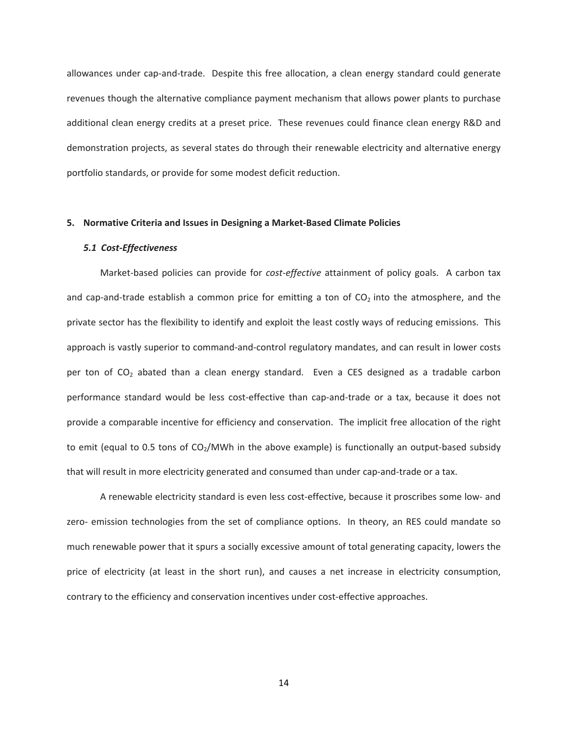allowances under cap‐and‐trade. Despite this free allocation, a clean energy standard could generate revenues though the alternative compliance payment mechanism that allows power plants to purchase additional clean energy credits at a preset price. These revenues could finance clean energy R&D and demonstration projects, as several states do through their renewable electricity and alternative energy portfolio standards, or provide for some modest deficit reduction.

#### **5. Normative Criteria and Issues in Designing a Market‐Based Climate Policies**

#### *5.1 Cost‐Effectiveness*

Market‐based policies can provide for *cost‐effective* attainment of policy goals. A carbon tax and cap-and-trade establish a common price for emitting a ton of  $CO<sub>2</sub>$  into the atmosphere, and the private sector has the flexibility to identify and exploit the least costly ways of reducing emissions. This approach is vastly superior to command‐and‐control regulatory mandates, and can result in lower costs per ton of CO<sub>2</sub> abated than a clean energy standard. Even a CES designed as a tradable carbon performance standard would be less cost-effective than cap-and-trade or a tax, because it does not provide a comparable incentive for efficiency and conservation. The implicit free allocation of the right to emit (equal to 0.5 tons of  $CO<sub>2</sub>/MWh$  in the above example) is functionally an output-based subsidy that will result in more electricity generated and consumed than under cap‐and‐trade or a tax.

A renewable electricity standard is even less cost‐effective, because it proscribes some low‐ and zero- emission technologies from the set of compliance options. In theory, an RES could mandate so much renewable power that it spurs a socially excessive amount of total generating capacity, lowers the price of electricity (at least in the short run), and causes a net increase in electricity consumption, contrary to the efficiency and conservation incentives under cost-effective approaches.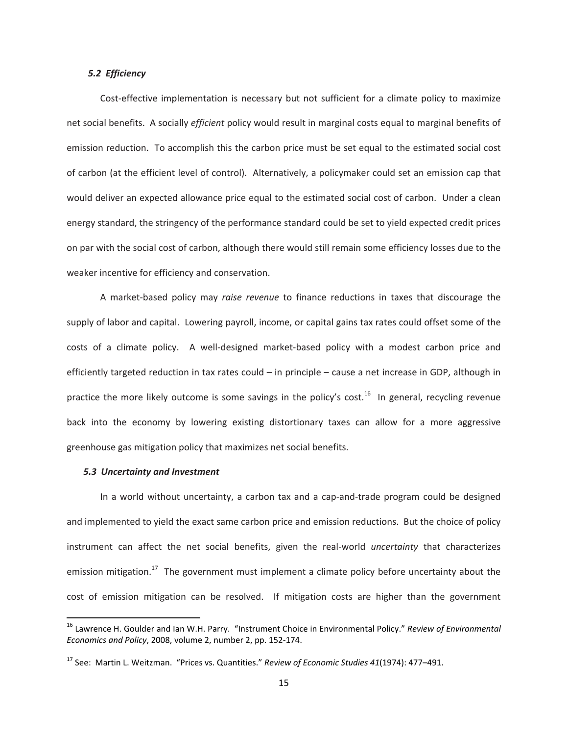#### *5.2 Efficiency*

Cost-effective implementation is necessary but not sufficient for a climate policy to maximize net social benefits. A socially *efficient* policy would result in marginal costs equal to marginal benefits of emission reduction. To accomplish this the carbon price must be set equal to the estimated social cost of carbon (at the efficient level of control). Alternatively, a policymaker could set an emission cap that would deliver an expected allowance price equal to the estimated social cost of carbon. Under a clean energy standard, the stringency of the performance standard could be set to yield expected credit prices on par with the social cost of carbon, although there would still remain some efficiency losses due to the weaker incentive for efficiency and conservation.

A market‐based policy may *raise revenue* to finance reductions in taxes that discourage the supply of labor and capital. Lowering payroll, income, or capital gains tax rates could offset some of the costs of a climate policy. A well-designed market-based policy with a modest carbon price and efficiently targeted reduction in tax rates could – in principle – cause a net increase in GDP, although in practice the more likely outcome is some savings in the policy's cost.<sup>16</sup> In general, recycling revenue back into the economy by lowering existing distortionary taxes can allow for a more aggressive greenhouse gas mitigation policy that maximizes net social benefits.

#### *5.3 Uncertainty and Investment*

In a world without uncertainty, a carbon tax and a cap‐and‐trade program could be designed and implemented to yield the exact same carbon price and emission reductions. But the choice of policy instrument can affect the net social benefits, given the real-world *uncertainty* that characterizes emission mitigation.<sup>17</sup> The government must implement a climate policy before uncertainty about the cost of emission mitigation can be resolved. If mitigation costs are higher than the government

<sup>16</sup> Lawrence H. Goulder and Ian W.H. Parry. "Instrument Choice in Environmental Policy." *Review of Environmental Economics and Policy*, 2008, volume 2, number 2, pp. 152‐174.

<sup>17</sup> See: Martin L. Weitzman. "Prices vs. Quantities." *Review of Economic Studies 41*(1974): 477–491.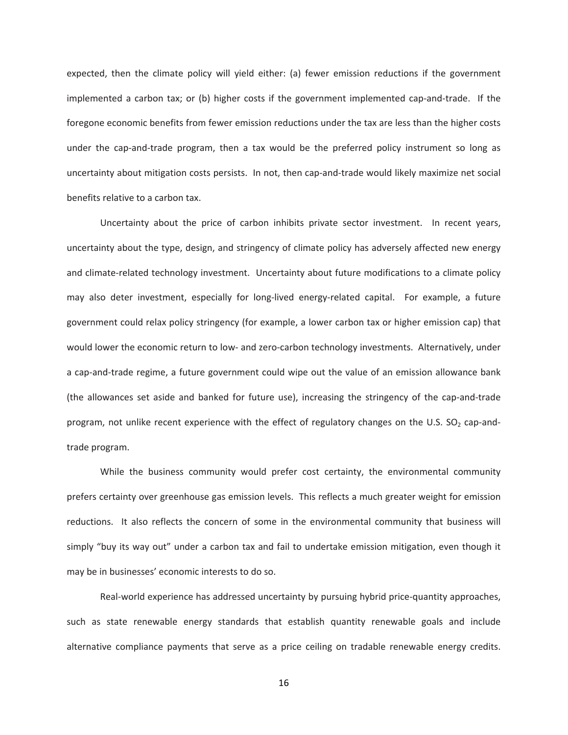expected, then the climate policy will yield either: (a) fewer emission reductions if the government implemented a carbon tax; or (b) higher costs if the government implemented cap-and-trade. If the foregone economic benefits from fewer emission reductions under the tax are less than the higher costs under the cap-and-trade program, then a tax would be the preferred policy instrument so long as uncertainty about mitigation costs persists. In not, then cap-and-trade would likely maximize net social benefits relative to a carbon tax.

Uncertainty about the price of carbon inhibits private sector investment. In recent years, uncertainty about the type, design, and stringency of climate policy has adversely affected new energy and climate-related technology investment. Uncertainty about future modifications to a climate policy may also deter investment, especially for long-lived energy-related capital. For example, a future government could relax policy stringency (for example, a lower carbon tax or higher emission cap) that would lower the economic return to low- and zero-carbon technology investments. Alternatively, under a cap‐and‐trade regime, a future government could wipe out the value of an emission allowance bank (the allowances set aside and banked for future use), increasing the stringency of the cap‐and‐trade program, not unlike recent experience with the effect of regulatory changes on the U.S.  $SO<sub>2</sub>$  cap-andtrade program.

While the business community would prefer cost certainty, the environmental community prefers certainty over greenhouse gas emission levels. This reflects a much greater weight for emission reductions. It also reflects the concern of some in the environmental community that business will simply "buy its way out" under a carbon tax and fail to undertake emission mitigation, even though it may be in businesses' economic interests to do so.

Real-world experience has addressed uncertainty by pursuing hybrid price-quantity approaches, such as state renewable energy standards that establish quantity renewable goals and include alternative compliance payments that serve as a price ceiling on tradable renewable energy credits.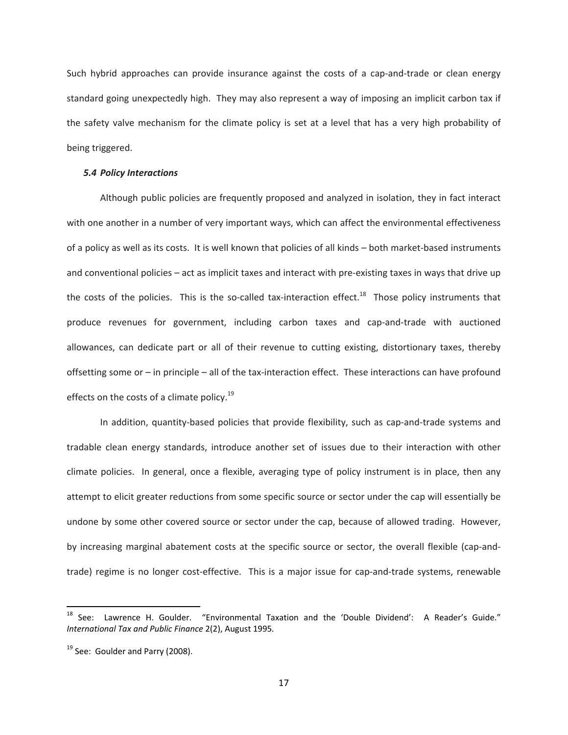Such hybrid approaches can provide insurance against the costs of a cap-and-trade or clean energy standard going unexpectedly high. They may also represent a way of imposing an implicit carbon tax if the safety valve mechanism for the climate policy is set at a level that has a very high probability of being triggered.

#### *5.4 Policy Interactions*

Although public policies are frequently proposed and analyzed in isolation, they in fact interact with one another in a number of very important ways, which can affect the environmental effectiveness of a policy as well as its costs. It is well known that policies of all kinds – both market‐based instruments and conventional policies – act as implicit taxes and interact with pre-existing taxes in ways that drive up the costs of the policies. This is the so-called tax-interaction effect.<sup>18</sup> Those policy instruments that produce revenues for government, including carbon taxes and cap-and-trade with auctioned allowances, can dedicate part or all of their revenue to cutting existing, distortionary taxes, thereby offsetting some or – in principle – all of the tax‐interaction effect. These interactions can have profound effects on the costs of a climate policy.<sup>19</sup>

In addition, quantity-based policies that provide flexibility, such as cap-and-trade systems and tradable clean energy standards, introduce another set of issues due to their interaction with other climate policies. In general, once a flexible, averaging type of policy instrument is in place, then any attempt to elicit greater reductions from some specific source or sector under the cap will essentially be undone by some other covered source or sector under the cap, because of allowed trading. However, by increasing marginal abatement costs at the specific source or sector, the overall flexible (cap-andtrade) regime is no longer cost-effective. This is a major issue for cap-and-trade systems, renewable

 $18$  See: Lawrence H. Goulder. "Environmental Taxation and the 'Double Dividend': A Reader's Guide." *International Tax and Public Finance* 2(2), August 1995*.*

 $19$  See: Goulder and Parry (2008).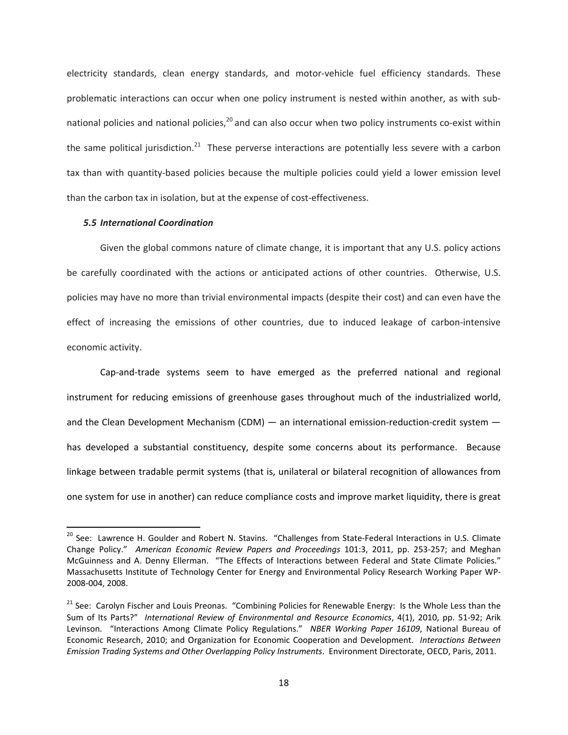electricity standards, clean energy standards, and motor‐vehicle fuel efficiency standards. These problematic interactions can occur when one policy instrument is nested within another, as with subnational policies and national policies, $^{20}$  and can also occur when two policy instruments co-exist within the same political jurisdiction.<sup>21</sup> These perverse interactions are potentially less severe with a carbon tax than with quantity-based policies because the multiple policies could yield a lower emission level than the carbon tax in isolation, but at the expense of cost-effectiveness.

#### *5.5 International Coordination*

Given the global commons nature of climate change, it is important that any U.S. policy actions be carefully coordinated with the actions or anticipated actions of other countries. Otherwise, U.S. policies may have no more than trivial environmental impacts (despite their cost) and can even have the effect of increasing the emissions of other countries, due to induced leakage of carbon-intensive economic activity.

Cap‐and‐trade systems seem to have emerged as the preferred national and regional instrument for reducing emissions of greenhouse gases throughout much of the industrialized world, and the Clean Development Mechanism (CDM) — an international emission-reduction-credit system has developed a substantial constituency, despite some concerns about its performance. Because linkage between tradable permit systems (that is, unilateral or bilateral recognition of allowances from one system for use in another) can reduce compliance costs and improve market liquidity, there is great

<sup>&</sup>lt;sup>20</sup> See: Lawrence H. Goulder and Robert N. Stavins. "Challenges from State-Federal Interactions in U.S. Climate Change Policy." *American Economic Review Papers and Proceedings* 101:3, 2011, pp. 253‐257; and Meghan McGuinness and A. Denny Ellerman. "The Effects of Interactions between Federal and State Climate Policies." Massachusetts Institute of Technology Center for Energy and Environmental Policy Research Working Paper WP‐ 2008‐004, 2008.

<sup>&</sup>lt;sup>21</sup> See: Carolyn Fischer and Louis Preonas. "Combining Policies for Renewable Energy: Is the Whole Less than the Sum of Its Parts?" *International Review of Environmental and Resource Economics*, 4(1), 2010, pp. 51‐92; Arik Levinson. "Interactions Among Climate Policy Regulations." *NBER Working Paper 16109*, National Bureau of Economic Research, 2010; and Organization for Economic Cooperation and Development. *Interactions Between Emission Trading Systems and Other Overlapping Policy Instruments*. Environment Directorate, OECD, Paris, 2011.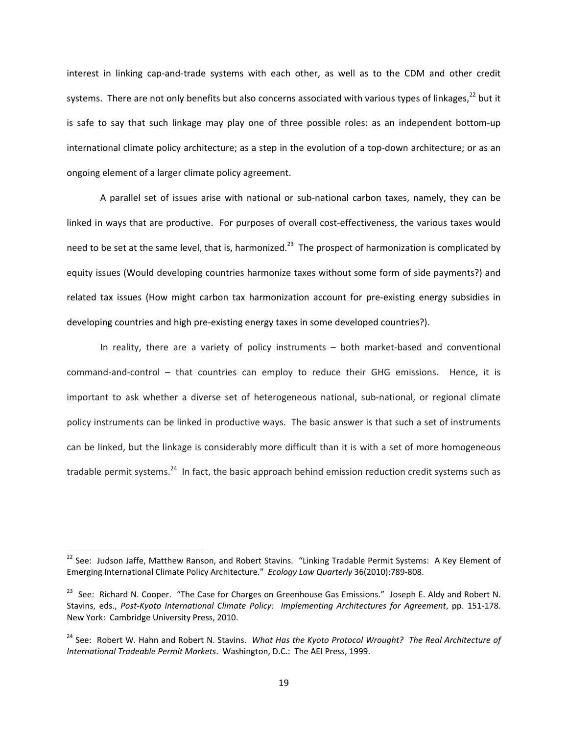interest in linking cap-and-trade systems with each other, as well as to the CDM and other credit systems. There are not only benefits but also concerns associated with various types of linkages.<sup>22</sup> but it is safe to say that such linkage may play one of three possible roles: as an independent bottom‐up international climate policy architecture; as a step in the evolution of a top-down architecture; or as an ongoing element of a larger climate policy agreement.

A parallel set of issues arise with national or sub-national carbon taxes, namely, they can be linked in ways that are productive. For purposes of overall cost-effectiveness, the various taxes would need to be set at the same level, that is, harmonized.<sup>23</sup> The prospect of harmonization is complicated by equity issues (Would developing countries harmonize taxes without some form of side payments?) and related tax issues (How might carbon tax harmonization account for pre-existing energy subsidies in developing countries and high pre‐existing energy taxes in some developed countries?).

In reality, there are a variety of policy instruments – both market‐based and conventional command-and-control – that countries can employ to reduce their GHG emissions. Hence, it is important to ask whether a diverse set of heterogeneous national, sub-national, or regional climate policy instruments can be linked in productive ways. The basic answer is that such a set of instruments can be linked, but the linkage is considerably more difficult than it is with a set of more homogeneous tradable permit systems.<sup>24</sup> In fact, the basic approach behind emission reduction credit systems such as

<sup>&</sup>lt;sup>22</sup> See: Judson Jaffe, Matthew Ranson, and Robert Stavins. "Linking Tradable Permit Systems: A Key Element of Emerging International Climate Policy Architecture." *Ecology Law Quarterly* 36(2010):789‐808.

<sup>&</sup>lt;sup>23</sup> See: Richard N. Cooper. "The Case for Charges on Greenhouse Gas Emissions." Joseph E. Aldy and Robert N. Stavins, eds., *Post‐Kyoto International Climate Policy: Implementing Architectures for Agreement*, pp. 151‐178. New York: Cambridge University Press, 2010.

<sup>24</sup> See: Robert W. Hahn and Robert N. Stavins. *What Has the Kyoto Protocol Wrought? The Real Architecture of International Tradeable Permit Markets*. Washington, D.C.: The AEI Press, 1999.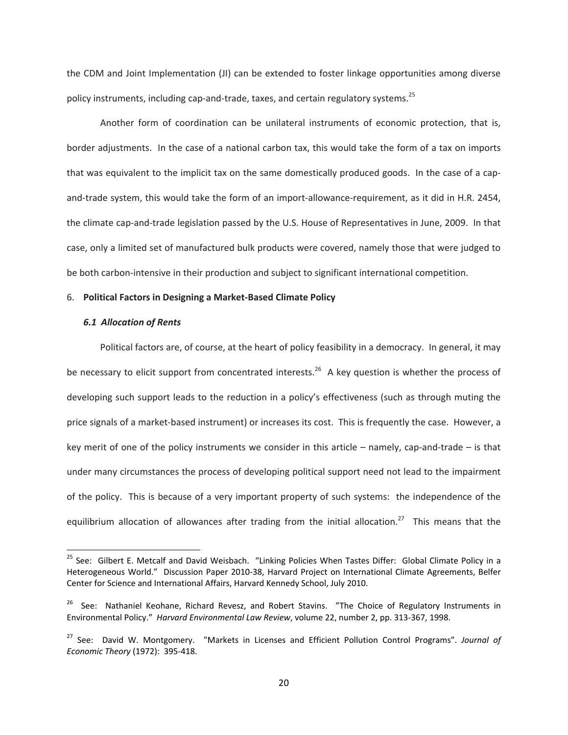the CDM and Joint Implementation (JI) can be extended to foster linkage opportunities among diverse policy instruments, including cap-and-trade, taxes, and certain regulatory systems.<sup>25</sup>

Another form of coordination can be unilateral instruments of economic protection, that is, border adjustments. In the case of a national carbon tax, this would take the form of a tax on imports that was equivalent to the implicit tax on the same domestically produced goods. In the case of a cap‐ and-trade system, this would take the form of an import-allowance-requirement, as it did in H.R. 2454, the climate cap‐and‐trade legislation passed by the U.S. House of Representatives in June, 2009. In that case, only a limited set of manufactured bulk products were covered, namely those that were judged to be both carbon-intensive in their production and subject to significant international competition.

#### 6. **Political Factors in Designing a Market‐Based Climate Policy**

#### *6.1 Allocation of Rents*

Political factors are, of course, at the heart of policy feasibility in a democracy. In general, it may be necessary to elicit support from concentrated interests.<sup>26</sup> A key question is whether the process of developing such support leads to the reduction in a policy's effectiveness (such as through muting the price signals of a market-based instrument) or increases its cost. This is frequently the case. However, a key merit of one of the policy instruments we consider in this article – namely, cap-and-trade – is that under many circumstances the process of developing political support need not lead to the impairment of the policy. This is because of a very important property of such systems: the independence of the equilibrium allocation of allowances after trading from the initial allocation.<sup>27</sup> This means that the

<sup>&</sup>lt;sup>25</sup> See: Gilbert E. Metcalf and David Weisbach. "Linking Policies When Tastes Differ: Global Climate Policy in a Heterogeneous World." Discussion Paper 2010‐38, Harvard Project on International Climate Agreements, Belfer Center for Science and International Affairs, Harvard Kennedy School, July 2010.

<sup>&</sup>lt;sup>26</sup> See: Nathaniel Keohane, Richard Revesz, and Robert Stavins. "The Choice of Regulatory Instruments in Environmental Policy." *Harvard Environmental Law Review*, volume 22, number 2, pp. 313‐367, 1998.

<sup>27</sup> See: David W. Montgomery. "Markets in Licenses and Efficient Pollution Control Programs". *Journal of Economic Theory* (1972): 395‐418.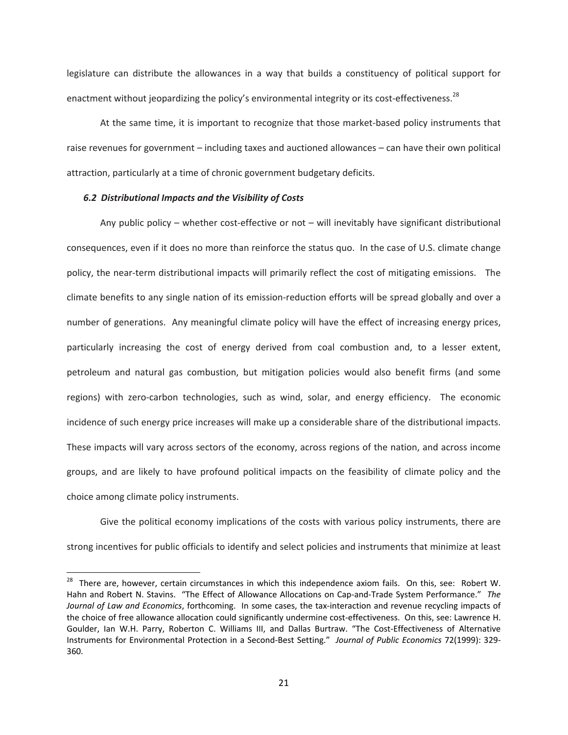legislature can distribute the allowances in a way that builds a constituency of political support for enactment without jeopardizing the policy's environmental integrity or its cost-effectiveness.<sup>28</sup>

At the same time, it is important to recognize that those market-based policy instruments that raise revenues for government – including taxes and auctioned allowances – can have their own political attraction, particularly at a time of chronic government budgetary deficits.

#### *6.2 Distributional Impacts and the Visibility of Costs*

Any public policy – whether cost‐effective or not – will inevitably have significant distributional consequences, even if it does no more than reinforce the status quo. In the case of U.S. climate change policy, the near-term distributional impacts will primarily reflect the cost of mitigating emissions. The climate benefits to any single nation of its emission‐reduction efforts will be spread globally and over a number of generations. Any meaningful climate policy will have the effect of increasing energy prices, particularly increasing the cost of energy derived from coal combustion and, to a lesser extent, petroleum and natural gas combustion, but mitigation policies would also benefit firms (and some regions) with zero-carbon technologies, such as wind, solar, and energy efficiency. The economic incidence of such energy price increases will make up a considerable share of the distributional impacts. These impacts will vary across sectors of the economy, across regions of the nation, and across income groups, and are likely to have profound political impacts on the feasibility of climate policy and the choice among climate policy instruments.

Give the political economy implications of the costs with various policy instruments, there are strong incentives for public officials to identify and select policies and instruments that minimize at least

 $^{28}$  There are, however, certain circumstances in which this independence axiom fails. On this, see: Robert W. Hahn and Robert N. Stavins. "The Effect of Allowance Allocations on Cap‐and‐Trade System Performance." *The Journal of Law and Economics*, forthcoming. In some cases, the tax‐interaction and revenue recycling impacts of the choice of free allowance allocation could significantly undermine cost-effectiveness. On this, see: Lawrence H. Goulder, Ian W.H. Parry, Roberton C. Williams III, and Dallas Burtraw. "The Cost‐Effectiveness of Alternative Instruments for Environmental Protection in a Second‐Best Setting." *Journal of Public Economics* 72(1999): 329‐ 360.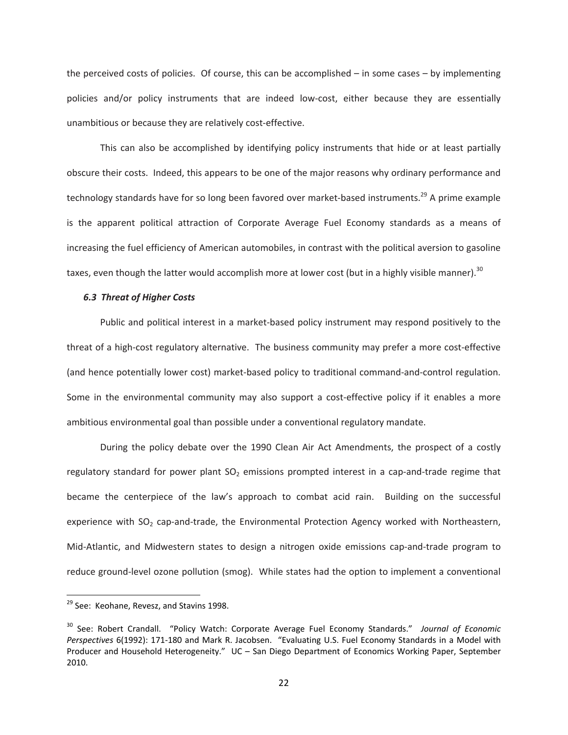the perceived costs of policies. Of course, this can be accomplished – in some cases – by implementing policies and/or policy instruments that are indeed low‐cost, either because they are essentially unambitious or because they are relatively cost-effective.

This can also be accomplished by identifying policy instruments that hide or at least partially obscure their costs. Indeed, this appears to be one of the major reasons why ordinary performance and technology standards have for so long been favored over market-based instruments.<sup>29</sup> A prime example is the apparent political attraction of Corporate Average Fuel Economy standards as a means of increasing the fuel efficiency of American automobiles, in contrast with the political aversion to gasoline taxes, even though the latter would accomplish more at lower cost (but in a highly visible manner).<sup>30</sup>

#### *6.3 Threat of Higher Costs*

Public and political interest in a market‐based policy instrument may respond positively to the threat of a high-cost regulatory alternative. The business community may prefer a more cost-effective (and hence potentially lower cost) market‐based policy to traditional command‐and‐control regulation. Some in the environmental community may also support a cost-effective policy if it enables a more ambitious environmental goal than possible under a conventional regulatory mandate.

During the policy debate over the 1990 Clean Air Act Amendments, the prospect of a costly regulatory standard for power plant  $SO<sub>2</sub>$  emissions prompted interest in a cap-and-trade regime that became the centerpiece of the law's approach to combat acid rain. Building on the successful experience with SO<sub>2</sub> cap-and-trade, the Environmental Protection Agency worked with Northeastern, Mid-Atlantic, and Midwestern states to design a nitrogen oxide emissions cap-and-trade program to reduce ground-level ozone pollution (smog). While states had the option to implement a conventional

<sup>&</sup>lt;sup>29</sup> See: Keohane, Revesz, and Stavins 1998.

<sup>30</sup> See: Robert Crandall. "Policy Watch: Corporate Average Fuel Economy Standards." *Journal of Economic Perspectives* 6(1992): 171‐180 and Mark R. Jacobsen. "Evaluating U.S. Fuel Economy Standards in a Model with Producer and Household Heterogeneity." UC – San Diego Department of Economics Working Paper, September 2010.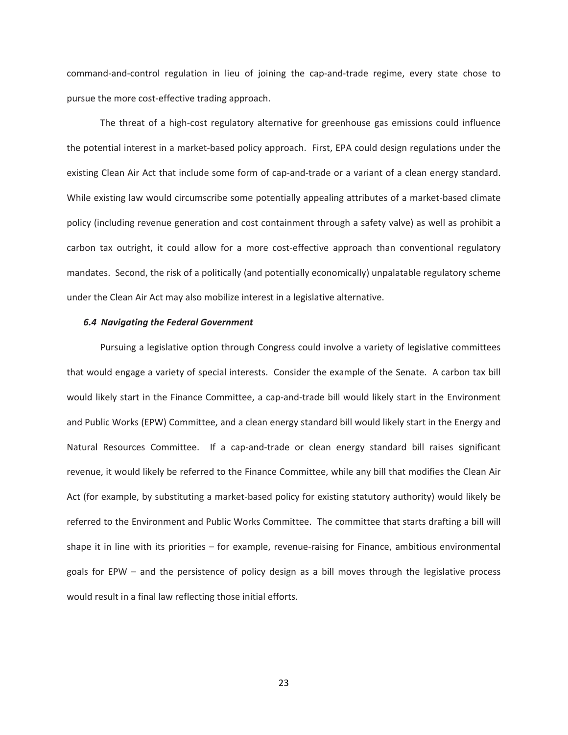command‐and‐control regulation in lieu of joining the cap‐and‐trade regime, every state chose to pursue the more cost-effective trading approach.

The threat of a high-cost regulatory alternative for greenhouse gas emissions could influence the potential interest in a market‐based policy approach. First, EPA could design regulations under the existing Clean Air Act that include some form of cap-and-trade or a variant of a clean energy standard. While existing law would circumscribe some potentially appealing attributes of a market-based climate policy (including revenue generation and cost containment through a safety valve) as well as prohibit a carbon tax outright, it could allow for a more cost-effective approach than conventional regulatory mandates. Second, the risk of a politically (and potentially economically) unpalatable regulatory scheme under the Clean Air Act may also mobilize interest in a legislative alternative.

#### *6.4 Navigating the Federal Government*

Pursuing a legislative option through Congress could involve a variety of legislative committees that would engage a variety of special interests. Consider the example of the Senate. A carbon tax bill would likely start in the Finance Committee, a cap-and-trade bill would likely start in the Environment and Public Works (EPW) Committee, and a clean energy standard bill would likely start in the Energy and Natural Resources Committee. If a cap-and-trade or clean energy standard bill raises significant revenue, it would likely be referred to the Finance Committee, while any bill that modifies the Clean Air Act (for example, by substituting a market-based policy for existing statutory authority) would likely be referred to the Environment and Public Works Committee. The committee that starts drafting a bill will shape it in line with its priorities – for example, revenue-raising for Finance, ambitious environmental goals for EPW – and the persistence of policy design as a bill moves through the legislative process would result in a final law reflecting those initial efforts.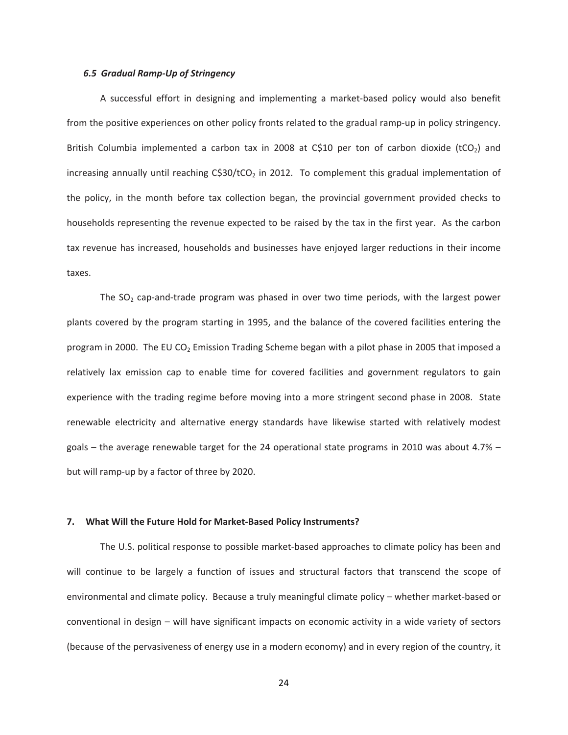#### *6.5 Gradual Ramp‐Up of Stringency*

A successful effort in designing and implementing a market‐based policy would also benefit from the positive experiences on other policy fronts related to the gradual ramp‐up in policy stringency. British Columbia implemented a carbon tax in 2008 at C\$10 per ton of carbon dioxide (tCO<sub>2</sub>) and increasing annually until reaching  $C$30/tCO<sub>2</sub>$  in 2012. To complement this gradual implementation of the policy, in the month before tax collection began, the provincial government provided checks to households representing the revenue expected to be raised by the tax in the first year. As the carbon tax revenue has increased, households and businesses have enjoyed larger reductions in their income taxes.

The  $SO<sub>2</sub>$  cap-and-trade program was phased in over two time periods, with the largest power plants covered by the program starting in 1995, and the balance of the covered facilities entering the program in 2000. The EU CO<sub>2</sub> Emission Trading Scheme began with a pilot phase in 2005 that imposed a relatively lax emission cap to enable time for covered facilities and government regulators to gain experience with the trading regime before moving into a more stringent second phase in 2008. State renewable electricity and alternative energy standards have likewise started with relatively modest goals – the average renewable target for the 24 operational state programs in 2010 was about 4.7% – but will ramp‐up by a factor of three by 2020.

#### **7. What Will the Future Hold for Market‐Based Policy Instruments?**

The U.S. political response to possible market-based approaches to climate policy has been and will continue to be largely a function of issues and structural factors that transcend the scope of environmental and climate policy. Because a truly meaningful climate policy – whether market-based or conventional in design – will have significant impacts on economic activity in a wide variety of sectors (because of the pervasiveness of energy use in a modern economy) and in every region of the country, it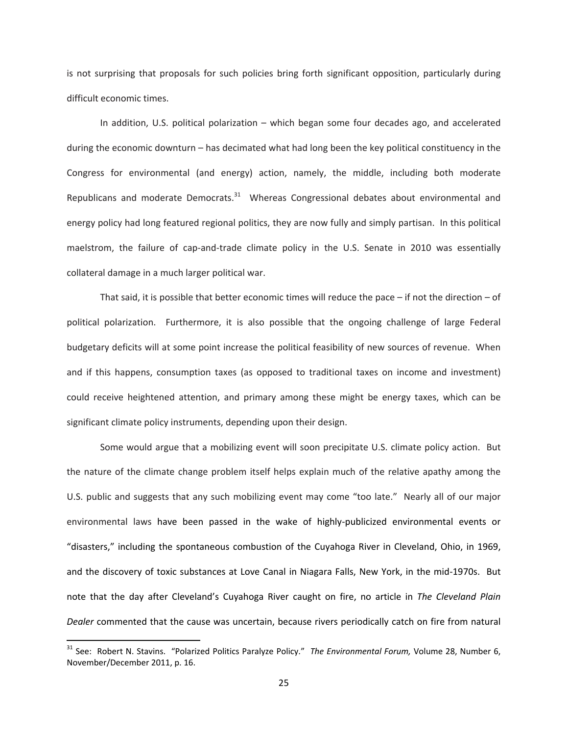is not surprising that proposals for such policies bring forth significant opposition, particularly during difficult economic times.

In addition, U.S. political polarization – which began some four decades ago, and accelerated during the economic downturn – has decimated what had long been the key political constituency in the Congress for environmental (and energy) action, namely, the middle, including both moderate Republicans and moderate Democrats. $31$  Whereas Congressional debates about environmental and energy policy had long featured regional politics, they are now fully and simply partisan. In this political maelstrom, the failure of cap-and-trade climate policy in the U.S. Senate in 2010 was essentially collateral damage in a much larger political war.

That said, it is possible that better economic times will reduce the pace  $-$  if not the direction  $-$  of political polarization. Furthermore, it is also possible that the ongoing challenge of large Federal budgetary deficits will at some point increase the political feasibility of new sources of revenue. When and if this happens, consumption taxes (as opposed to traditional taxes on income and investment) could receive heightened attention, and primary among these might be energy taxes, which can be significant climate policy instruments, depending upon their design.

Some would argue that a mobilizing event will soon precipitate U.S. climate policy action. But the nature of the climate change problem itself helps explain much of the relative apathy among the U.S. public and suggests that any such mobilizing event may come "too late." Nearly all of our major environmental laws have been passed in the wake of highly‐publicized environmental events or "disasters," including the spontaneous combustion of the Cuyahoga River in Cleveland, Ohio, in 1969, and the discovery of toxic substances at Love Canal in Niagara Falls, New York, in the mid‐1970s. But note that the day after Cleveland's Cuyahoga River caught on fire, no article in *The Cleveland Plain Dealer* commented that the cause was uncertain, because rivers periodically catch on fire from natural

<sup>31</sup> See: Robert N. Stavins. "Polarized Politics Paralyze Policy." *The Environmental Forum,* Volume 28, Number 6, November/December 2011, p. 16.